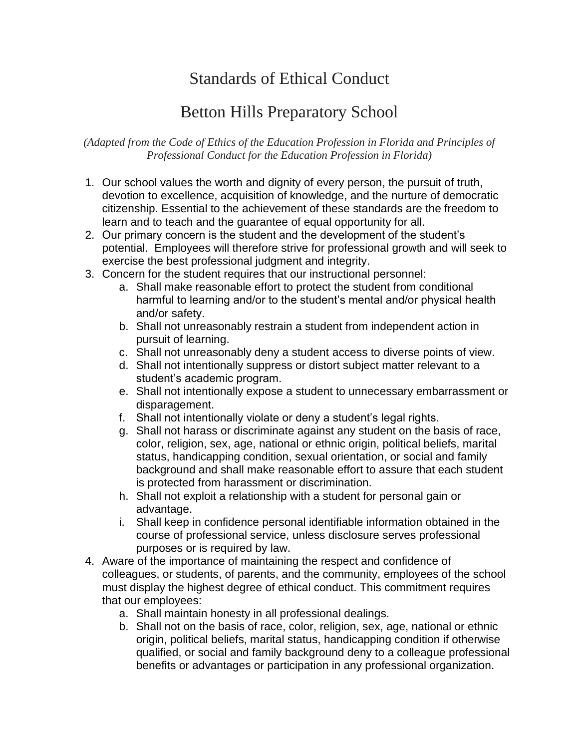## Standards of Ethical Conduct

## Betton Hills Preparatory School

*(Adapted from the Code of Ethics of the Education Profession in Florida and Principles of Professional Conduct for the Education Profession in Florida)*

- 1. Our school values the worth and dignity of every person, the pursuit of truth, devotion to excellence, acquisition of knowledge, and the nurture of democratic citizenship. Essential to the achievement of these standards are the freedom to learn and to teach and the guarantee of equal opportunity for all.
- 2. Our primary concern is the student and the development of the student's potential. Employees will therefore strive for professional growth and will seek to exercise the best professional judgment and integrity.
- 3. Concern for the student requires that our instructional personnel:
	- a. Shall make reasonable effort to protect the student from conditional harmful to learning and/or to the student's mental and/or physical health and/or safety.
	- b. Shall not unreasonably restrain a student from independent action in pursuit of learning.
	- c. Shall not unreasonably deny a student access to diverse points of view.
	- d. Shall not intentionally suppress or distort subject matter relevant to a student's academic program.
	- e. Shall not intentionally expose a student to unnecessary embarrassment or disparagement.
	- f. Shall not intentionally violate or deny a student's legal rights.
	- g. Shall not harass or discriminate against any student on the basis of race, color, religion, sex, age, national or ethnic origin, political beliefs, marital status, handicapping condition, sexual orientation, or social and family background and shall make reasonable effort to assure that each student is protected from harassment or discrimination.
	- h. Shall not exploit a relationship with a student for personal gain or advantage.
	- i. Shall keep in confidence personal identifiable information obtained in the course of professional service, unless disclosure serves professional purposes or is required by law.
- 4. Aware of the importance of maintaining the respect and confidence of colleagues, or students, of parents, and the community, employees of the school must display the highest degree of ethical conduct. This commitment requires that our employees:
	- a. Shall maintain honesty in all professional dealings.
	- b. Shall not on the basis of race, color, religion, sex, age, national or ethnic origin, political beliefs, marital status, handicapping condition if otherwise qualified, or social and family background deny to a colleague professional benefits or advantages or participation in any professional organization.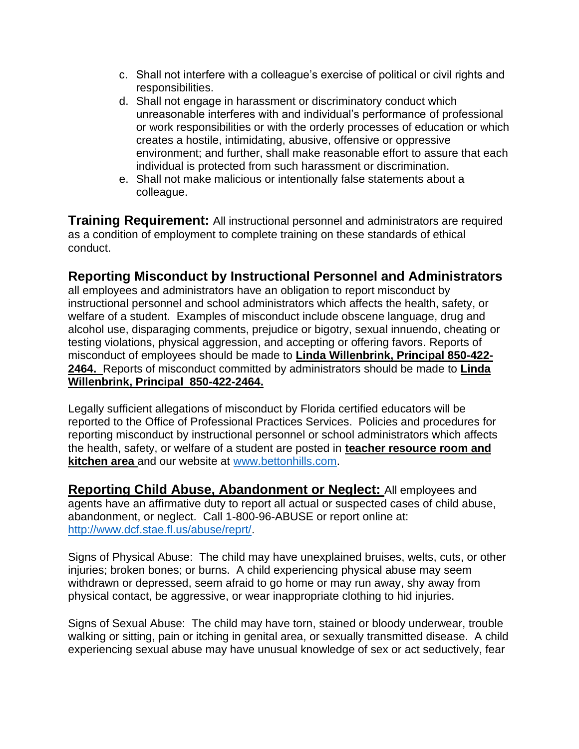- c. Shall not interfere with a colleague's exercise of political or civil rights and responsibilities.
- d. Shall not engage in harassment or discriminatory conduct which unreasonable interferes with and individual's performance of professional or work responsibilities or with the orderly processes of education or which creates a hostile, intimidating, abusive, offensive or oppressive environment; and further, shall make reasonable effort to assure that each individual is protected from such harassment or discrimination.
- e. Shall not make malicious or intentionally false statements about a colleague.

**Training Requirement:** All instructional personnel and administrators are required as a condition of employment to complete training on these standards of ethical conduct.

## **Reporting Misconduct by Instructional Personnel and Administrators**

all employees and administrators have an obligation to report misconduct by instructional personnel and school administrators which affects the health, safety, or welfare of a student. Examples of misconduct include obscene language, drug and alcohol use, disparaging comments, prejudice or bigotry, sexual innuendo, cheating or testing violations, physical aggression, and accepting or offering favors. Reports of misconduct of employees should be made to **Linda Willenbrink, Principal 850-422- 2464.** Reports of misconduct committed by administrators should be made to **Linda Willenbrink, Principal 850-422-2464.** 

Legally sufficient allegations of misconduct by Florida certified educators will be reported to the Office of Professional Practices Services. Policies and procedures for reporting misconduct by instructional personnel or school administrators which affects the health, safety, or welfare of a student are posted in **teacher resource room and kitchen area** and our website at [www.bettonhills.com.](http://www.bettonhills.com/)

**Reporting Child Abuse, Abandonment or Neglect:** All employees and agents have an affirmative duty to report all actual or suspected cases of child abuse, abandonment, or neglect. Call 1-800-96-ABUSE or report online at: [http://www.dcf.stae.fl.us/abuse/reprt/.](http://www.dcf.stae.fl.us/abuse/reprt/)

Signs of Physical Abuse: The child may have unexplained bruises, welts, cuts, or other injuries; broken bones; or burns. A child experiencing physical abuse may seem withdrawn or depressed, seem afraid to go home or may run away, shy away from physical contact, be aggressive, or wear inappropriate clothing to hid injuries.

Signs of Sexual Abuse: The child may have torn, stained or bloody underwear, trouble walking or sitting, pain or itching in genital area, or sexually transmitted disease. A child experiencing sexual abuse may have unusual knowledge of sex or act seductively, fear